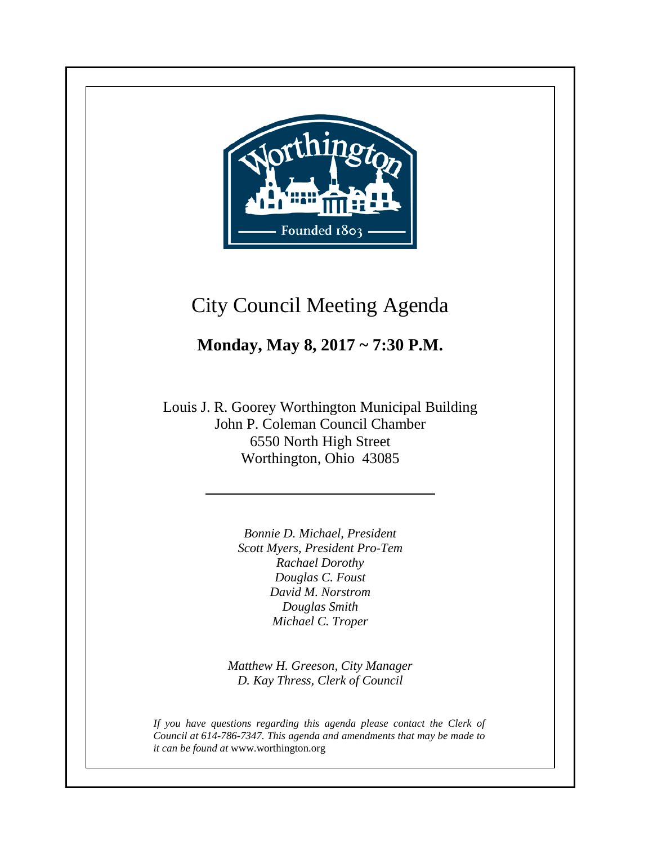

**+**

# City Council Meeting Agenda

**Monday, May 8, 2017 ~ 7:30 P.M.**

Louis J. R. Goorey Worthington Municipal Building John P. Coleman Council Chamber 6550 North High Street Worthington, Ohio 43085

> *Bonnie D. Michael, President Scott Myers, President Pro-Tem Rachael Dorothy Douglas C. Foust David M. Norstrom Douglas Smith Michael C. Troper*

*Matthew H. Greeson, City Manager D. Kay Thress, Clerk of Council*

*If you have questions regarding this agenda please contact the Clerk of Council at 614-786-7347. This agenda and amendments that may be made to it can be found at* www.worthington.org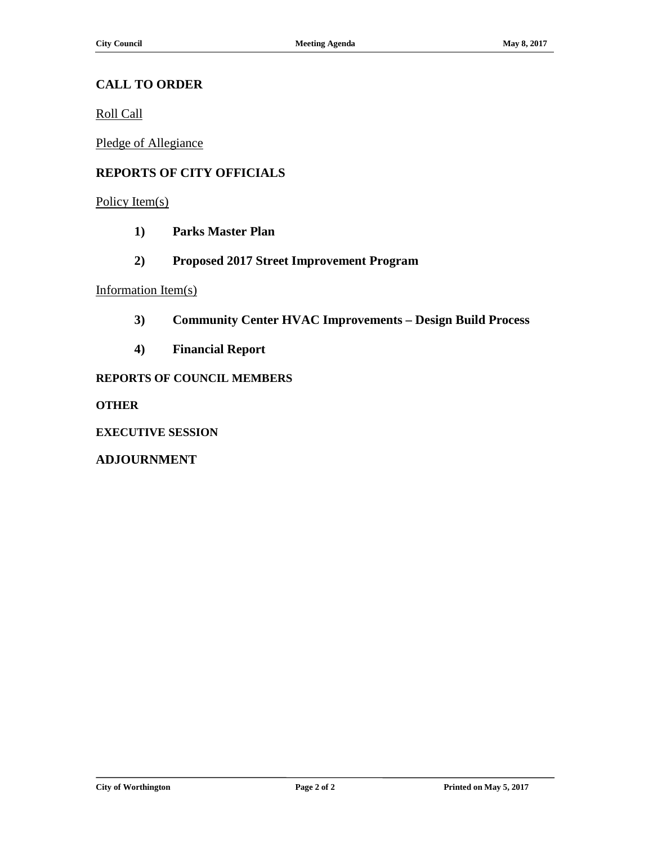# **CALL TO ORDER**

Roll Call

Pledge of Allegiance

#### **REPORTS OF CITY OFFICIALS**

Policy Item(s)

- **1) Parks Master Plan**
- **2) Proposed 2017 Street Improvement Program**

### Information Item(s)

- **3) Community Center HVAC Improvements – Design Build Process**
- **4) Financial Report**

#### **REPORTS OF COUNCIL MEMBERS**

**OTHER**

**EXECUTIVE SESSION**

**ADJOURNMENT**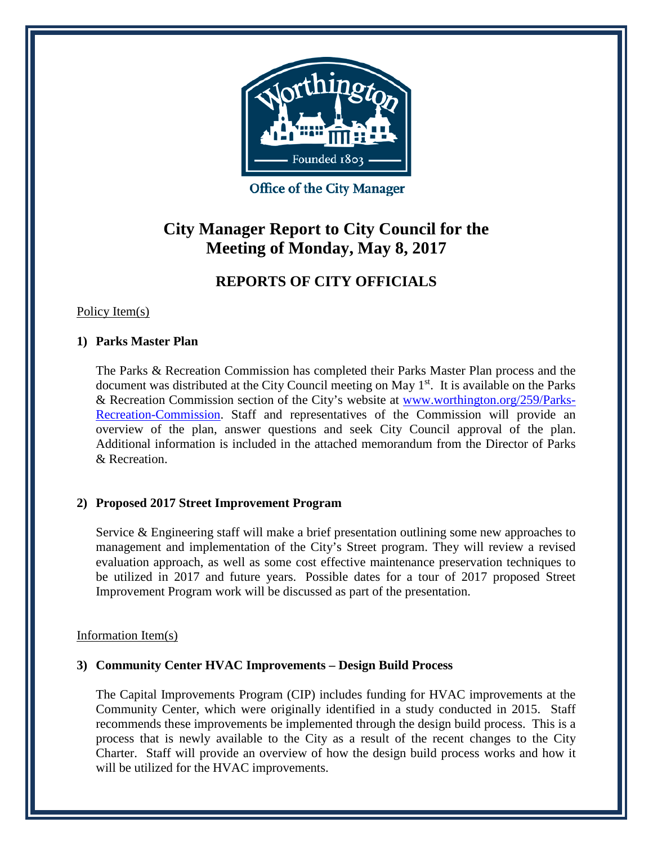

**Office of the City Manager** 

# **City Manager Report to City Council for the Meeting of Monday, May 8, 2017**

# **REPORTS OF CITY OFFICIALS**

#### Policy Item(s)

#### **1) Parks Master Plan**

The Parks & Recreation Commission has completed their Parks Master Plan process and the document was distributed at the City Council meeting on May  $1<sup>st</sup>$ . It is available on the Parks & Recreation Commission section of the City's website at [www.worthington.org/259/Parks-](http://www.worthington.org/259/Parks-Recreation-Commission)[Recreation-Commission.](http://www.worthington.org/259/Parks-Recreation-Commission) Staff and representatives of the Commission will provide an overview of the plan, answer questions and seek City Council approval of the plan. Additional information is included in the attached memorandum from the Director of Parks & Recreation.

# **2) Proposed 2017 Street Improvement Program**

Service & Engineering staff will make a brief presentation outlining some new approaches to management and implementation of the City's Street program. They will review a revised evaluation approach, as well as some cost effective maintenance preservation techniques to be utilized in 2017 and future years. Possible dates for a tour of 2017 proposed Street Improvement Program work will be discussed as part of the presentation.

#### Information Item(s)

# **3) Community Center HVAC Improvements – Design Build Process**

The Capital Improvements Program (CIP) includes funding for HVAC improvements at the Community Center, which were originally identified in a study conducted in 2015. Staff recommends these improvements be implemented through the design build process. This is a process that is newly available to the City as a result of the recent changes to the City Charter. Staff will provide an overview of how the design build process works and how it will be utilized for the HVAC improvements.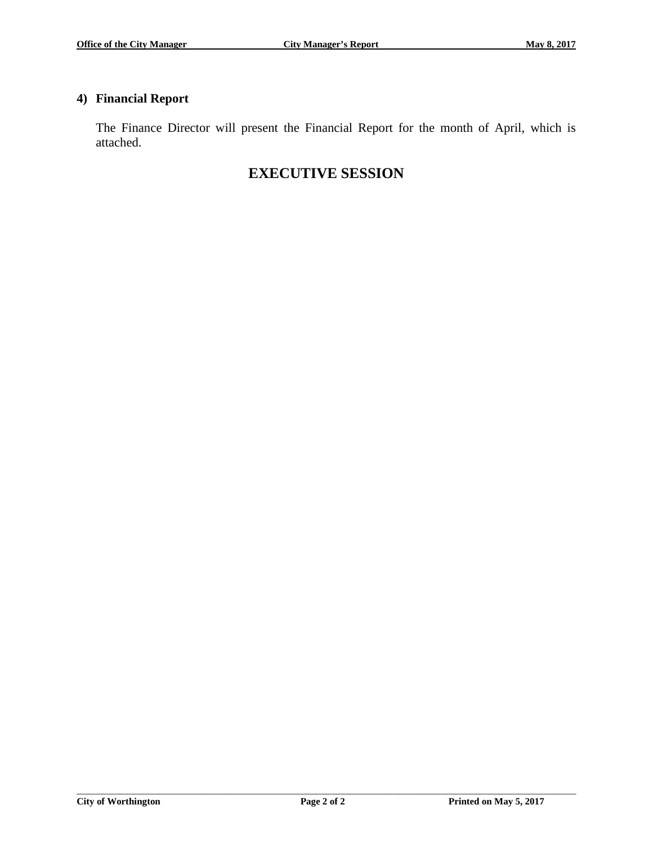# **4) Financial Report**

The Finance Director will present the Financial Report for the month of April, which is attached.

# **EXECUTIVE SESSION**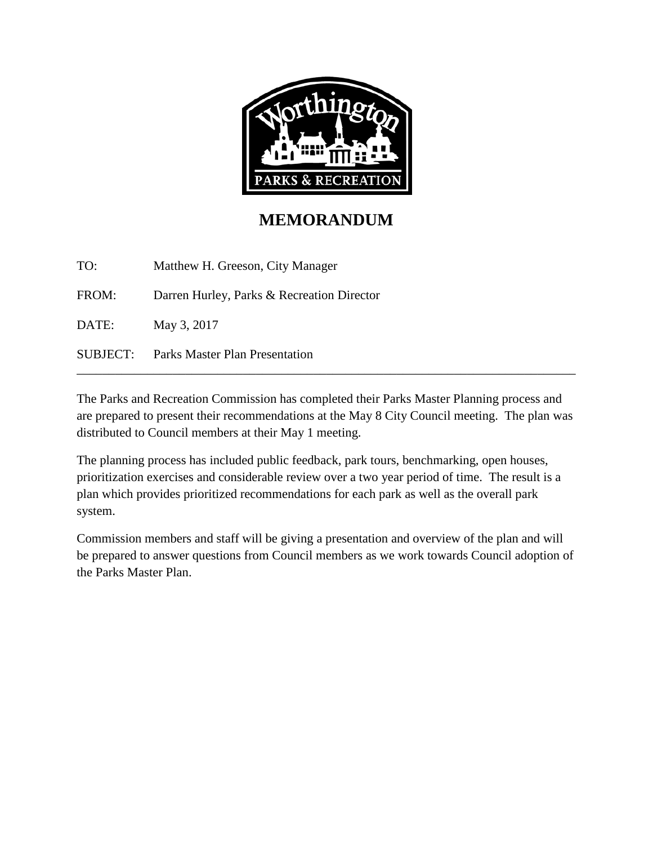

# **MEMORANDUM**

TO: Matthew H. Greeson, City Manager

FROM: Darren Hurley, Parks & Recreation Director

DATE: May 3, 2017

SUBJECT: Parks Master Plan Presentation

The Parks and Recreation Commission has completed their Parks Master Planning process and are prepared to present their recommendations at the May 8 City Council meeting. The plan was distributed to Council members at their May 1 meeting.

\_\_\_\_\_\_\_\_\_\_\_\_\_\_\_\_\_\_\_\_\_\_\_\_\_\_\_\_\_\_\_\_\_\_\_\_\_\_\_\_\_\_\_\_\_\_\_\_\_\_\_\_\_\_\_\_\_\_\_\_\_\_\_\_\_\_\_\_\_\_\_\_\_\_\_\_\_\_

The planning process has included public feedback, park tours, benchmarking, open houses, prioritization exercises and considerable review over a two year period of time. The result is a plan which provides prioritized recommendations for each park as well as the overall park system.

Commission members and staff will be giving a presentation and overview of the plan and will be prepared to answer questions from Council members as we work towards Council adoption of the Parks Master Plan.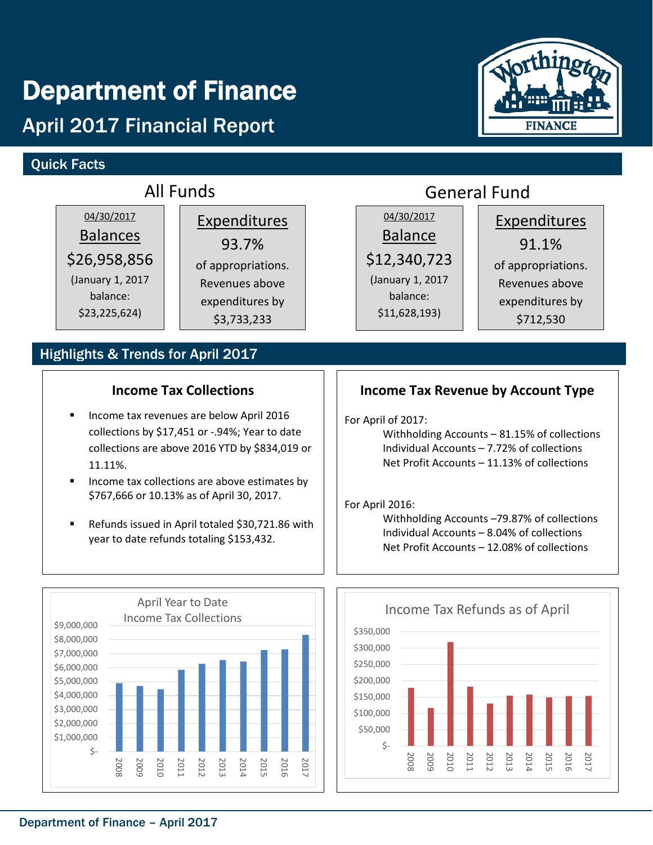# Department of Finance

# April 2017 Financial Report

# Quick Facts



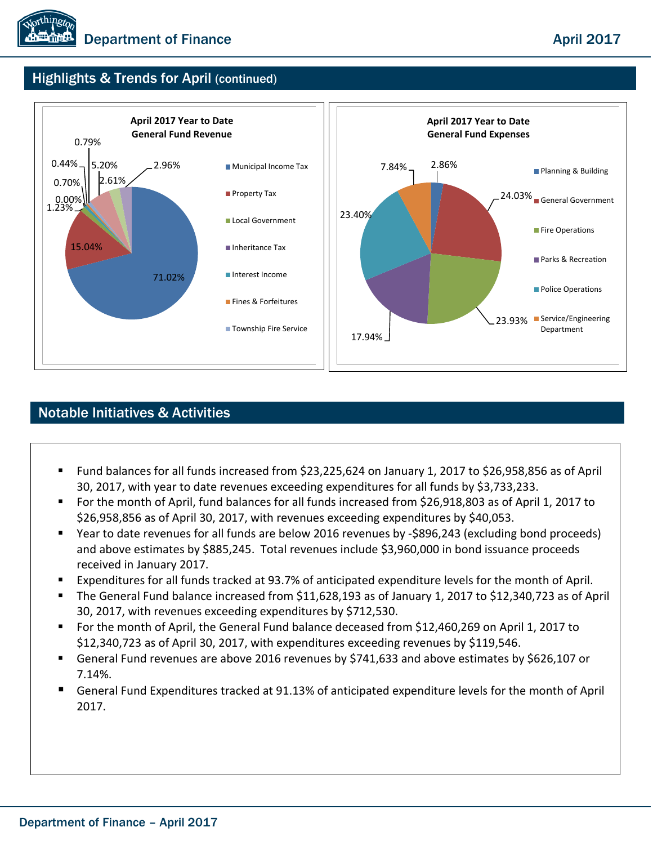

# Highlights & Trends for April (continued)



# Notable Initiatives & Activities

- Fund balances for all funds increased from \$23,225,624 on January 1, 2017 to \$26,958,856 as of April 30, 2017, with year to date revenues exceeding expenditures for all funds by \$3,733,233.
- For the month of April, fund balances for all funds increased from \$26,918,803 as of April 1, 2017 to \$26,958,856 as of April 30, 2017, with revenues exceeding expenditures by \$40,053.
- Year to date revenues for all funds are below 2016 revenues by -\$896,243 (excluding bond proceeds) and above estimates by \$885,245. Total revenues include \$3,960,000 in bond issuance proceeds received in January 2017.
- Expenditures for all funds tracked at 93.7% of anticipated expenditure levels for the month of April.
- The General Fund balance increased from \$11,628,193 as of January 1, 2017 to \$12,340,723 as of April 30, 2017, with revenues exceeding expenditures by \$712,530.
- For the month of April, the General Fund balance deceased from \$12,460,269 on April 1, 2017 to \$12,340,723 as of April 30, 2017, with expenditures exceeding revenues by \$119,546.
- General Fund revenues are above 2016 revenues by \$741,633 and above estimates by \$626,107 or 7.14%.
- General Fund Expenditures tracked at 91.13% of anticipated expenditure levels for the month of April 2017.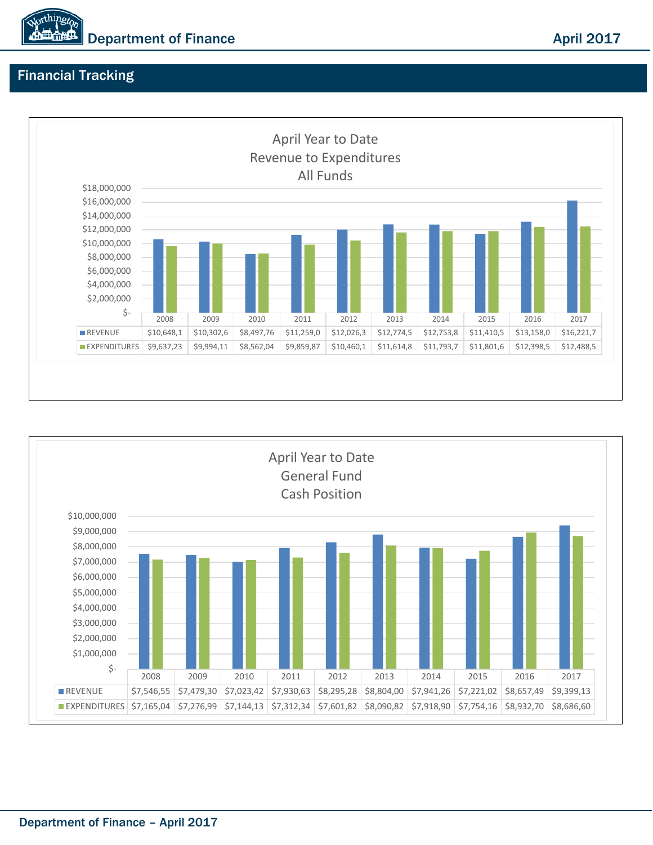

# Financial Tracking



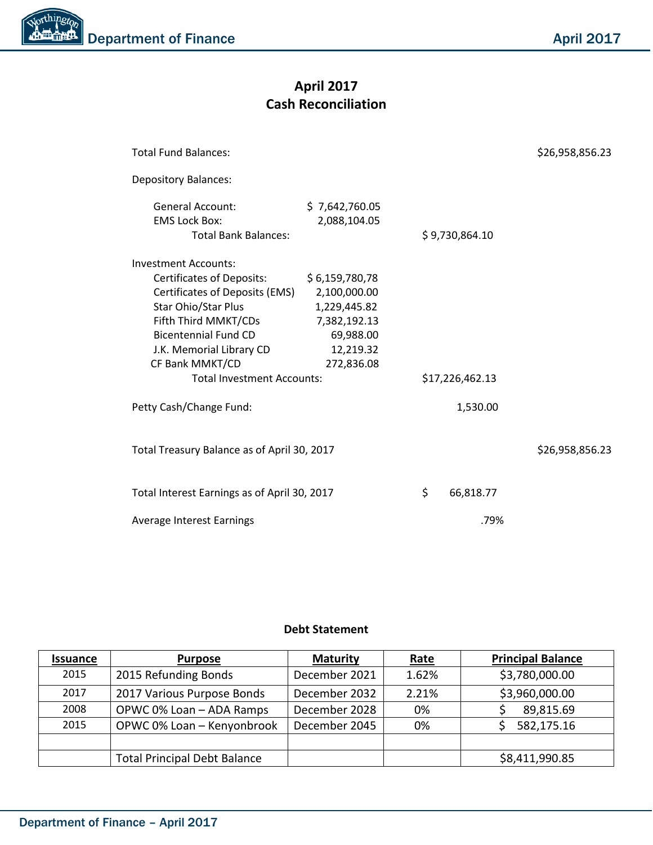# **April 2017 Cash Reconciliation**

| <b>Total Fund Balances:</b>                                                                                                                                                                                                                                                                                                                                                   |                                | \$26,958,856.23 |  |
|-------------------------------------------------------------------------------------------------------------------------------------------------------------------------------------------------------------------------------------------------------------------------------------------------------------------------------------------------------------------------------|--------------------------------|-----------------|--|
| <b>Depository Balances:</b>                                                                                                                                                                                                                                                                                                                                                   |                                |                 |  |
| <b>General Account:</b><br><b>EMS Lock Box:</b><br><b>Total Bank Balances:</b>                                                                                                                                                                                                                                                                                                | \$7,642,760.05<br>2,088,104.05 | \$9,730,864.10  |  |
| <b>Investment Accounts:</b><br><b>Certificates of Deposits:</b><br>\$6,159,780,78<br>Certificates of Deposits (EMS)<br>2,100,000.00<br>Star Ohio/Star Plus<br>1,229,445.82<br>Fifth Third MMKT/CDs<br>7,382,192.13<br><b>Bicentennial Fund CD</b><br>69,988.00<br>J.K. Memorial Library CD<br>12,219.32<br>CF Bank MMKT/CD<br>272,836.08<br><b>Total Investment Accounts:</b> |                                | \$17,226,462.13 |  |
| Petty Cash/Change Fund:                                                                                                                                                                                                                                                                                                                                                       |                                | 1,530.00        |  |
| Total Treasury Balance as of April 30, 2017                                                                                                                                                                                                                                                                                                                                   |                                | \$26,958,856.23 |  |
| Total Interest Earnings as of April 30, 2017                                                                                                                                                                                                                                                                                                                                  |                                | \$<br>66,818.77 |  |
| Average Interest Earnings                                                                                                                                                                                                                                                                                                                                                     | .79%                           |                 |  |

### **Debt Statement**

| <b>Issuance</b> | <b>Purpose</b>                      | <b>Maturity</b> | <u>Rate</u> | <b>Principal Balance</b> |  |  |  |
|-----------------|-------------------------------------|-----------------|-------------|--------------------------|--|--|--|
| 2015            | 2015 Refunding Bonds                | December 2021   | 1.62%       | \$3,780,000.00           |  |  |  |
| 2017            | 2017 Various Purpose Bonds          | December 2032   | 2.21%       | \$3,960,000.00           |  |  |  |
| 2008            | OPWC 0% Loan - ADA Ramps            | December 2028   | 0%          | 89,815.69                |  |  |  |
| 2015            | OPWC 0% Loan - Kenyonbrook          | December 2045   | 0%          | 582,175.16               |  |  |  |
|                 |                                     |                 |             |                          |  |  |  |
|                 | <b>Total Principal Debt Balance</b> |                 |             | \$8,411,990.85           |  |  |  |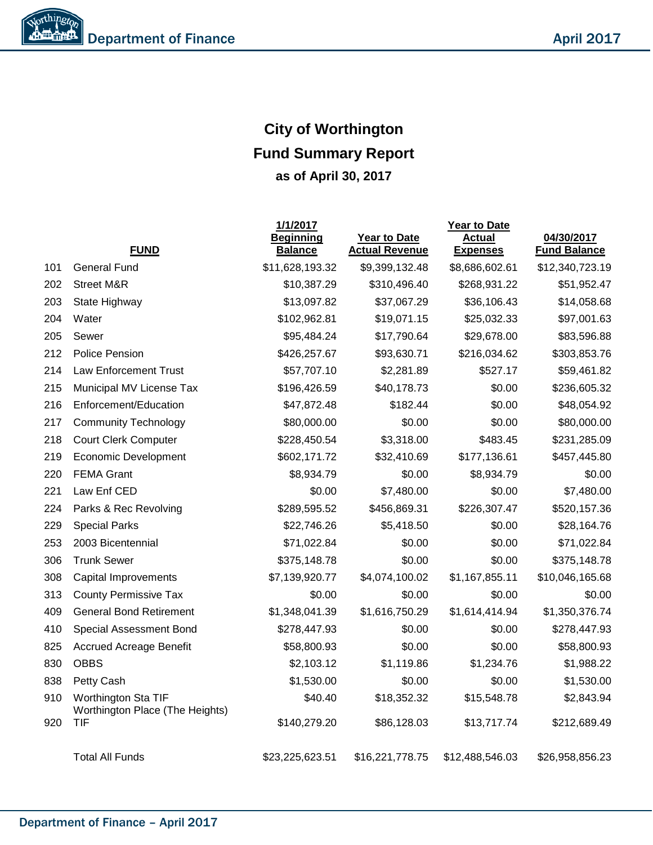# **City of Worthington Fund Summary Report as of April 30, 2017**

|     | <b>FUND</b>                                            | 1/1/2017<br><b>Beginning</b><br><b>Balance</b> | Year to Date<br><b>Actual Revenue</b> | <b>Year to Date</b><br>Actual<br><b>Expenses</b> | 04/30/2017<br><b>Fund Balance</b> |
|-----|--------------------------------------------------------|------------------------------------------------|---------------------------------------|--------------------------------------------------|-----------------------------------|
| 101 | <b>General Fund</b>                                    | \$11,628,193.32                                | \$9,399,132.48                        | \$8,686,602.61                                   | \$12,340,723.19                   |
| 202 | <b>Street M&amp;R</b>                                  | \$10,387.29                                    | \$310,496.40                          | \$268,931.22                                     | \$51,952.47                       |
| 203 | State Highway                                          | \$13,097.82                                    | \$37,067.29                           | \$36,106.43                                      | \$14,058.68                       |
| 204 | Water                                                  | \$102,962.81                                   | \$19,071.15                           | \$25,032.33                                      | \$97,001.63                       |
| 205 | Sewer                                                  | \$95,484.24                                    | \$17,790.64                           | \$29,678.00                                      | \$83,596.88                       |
| 212 | <b>Police Pension</b>                                  | \$426,257.67                                   | \$93,630.71                           | \$216,034.62                                     | \$303,853.76                      |
| 214 | <b>Law Enforcement Trust</b>                           | \$57,707.10                                    | \$2,281.89                            | \$527.17                                         | \$59,461.82                       |
| 215 | Municipal MV License Tax                               | \$196,426.59                                   | \$40,178.73                           | \$0.00                                           | \$236,605.32                      |
| 216 | Enforcement/Education                                  | \$47,872.48                                    | \$182.44                              | \$0.00                                           | \$48,054.92                       |
| 217 | <b>Community Technology</b>                            | \$80,000.00                                    | \$0.00                                | \$0.00                                           | \$80,000.00                       |
| 218 | <b>Court Clerk Computer</b>                            | \$228,450.54                                   | \$3,318.00                            | \$483.45                                         | \$231,285.09                      |
| 219 | <b>Economic Development</b>                            | \$602,171.72                                   | \$32,410.69                           | \$177,136.61                                     | \$457,445.80                      |
| 220 | <b>FEMA Grant</b>                                      | \$8,934.79                                     | \$0.00                                | \$8,934.79                                       | \$0.00                            |
| 221 | Law Enf CED                                            | \$0.00                                         | \$7,480.00                            | \$0.00                                           | \$7,480.00                        |
| 224 | Parks & Rec Revolving                                  | \$289,595.52                                   | \$456,869.31                          | \$226,307.47                                     | \$520,157.36                      |
| 229 | <b>Special Parks</b>                                   | \$22,746.26                                    | \$5,418.50                            | \$0.00                                           | \$28,164.76                       |
| 253 | 2003 Bicentennial                                      | \$71,022.84                                    | \$0.00                                | \$0.00                                           | \$71,022.84                       |
| 306 | <b>Trunk Sewer</b>                                     | \$375,148.78                                   | \$0.00                                | \$0.00                                           | \$375,148.78                      |
| 308 | Capital Improvements                                   | \$7,139,920.77                                 | \$4,074,100.02                        | \$1,167,855.11                                   | \$10,046,165.68                   |
| 313 | <b>County Permissive Tax</b>                           | \$0.00                                         | \$0.00                                | \$0.00                                           | \$0.00                            |
| 409 | <b>General Bond Retirement</b>                         | \$1,348,041.39                                 | \$1,616,750.29                        | \$1,614,414.94                                   | \$1,350,376.74                    |
| 410 | Special Assessment Bond                                | \$278,447.93                                   | \$0.00                                | \$0.00                                           | \$278,447.93                      |
| 825 | <b>Accrued Acreage Benefit</b>                         | \$58,800.93                                    | \$0.00                                | \$0.00                                           | \$58,800.93                       |
| 830 | <b>OBBS</b>                                            | \$2,103.12                                     | \$1,119.86                            | \$1,234.76                                       | \$1,988.22                        |
| 838 | Petty Cash                                             | \$1,530.00                                     | \$0.00                                | \$0.00                                           | \$1,530.00                        |
| 910 | Worthington Sta TIF<br>Worthington Place (The Heights) | \$40.40                                        | \$18,352.32                           | \$15,548.78                                      | \$2,843.94                        |
| 920 | TIF                                                    | \$140,279.20                                   | \$86,128.03                           | \$13,717.74                                      | \$212,689.49                      |
|     | <b>Total All Funds</b>                                 | \$23,225,623.51                                | \$16,221,778.75                       | \$12,488,546.03                                  | \$26,958,856.23                   |